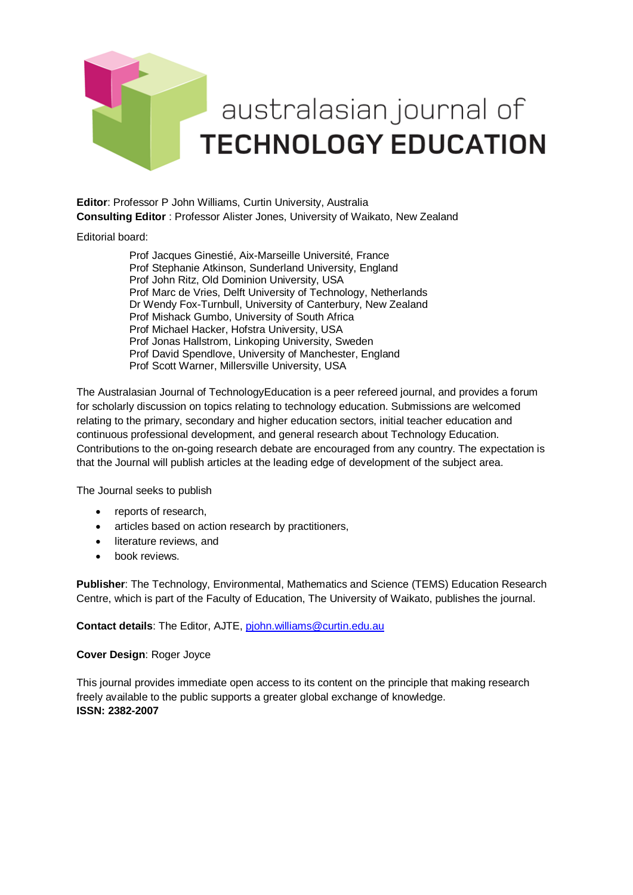

**Editor**: Professor P John Williams, Curtin University, Australia **Consulting Editor** : Professor Alister Jones, University of Waikato, New Zealand

Editorial board:

[Prof Jacques Ginestié,](javascript:openRTWindow() Aix-Marseille Université, France Prof [Stephanie Atkinson,](javascript:openRTWindow() Sunderland University, England [Prof John Ritz,](javascript:openRTWindow() Old Dominion University, USA [Prof Marc de Vries,](javascript:openRTWindow() Delft University of Technology, Netherlands Dr Wendy Fox-Turnbull, University of Canterbury, New Zealand Prof Mishack Gumbo, University of South Africa Prof Michael Hacker, Hofstra University, USA Prof Jonas Hallstrom, Linkoping University, Sweden Prof David Spendlove, University of Manchester, England Prof Scott Warner, Millersville University, USA

The Australasian Journal of TechnologyEducation is a peer refereed journal, and provides a forum for scholarly discussion on topics relating to technology education. Submissions are welcomed relating to the primary, secondary and higher education sectors, initial teacher education and continuous professional development, and general research about Technology Education. Contributions to the on-going research debate are encouraged from any country. The expectation is that the Journal will publish articles at the leading edge of development of the subject area.

The Journal seeks to publish

- reports of research,
- articles based on action research by practitioners,
- literature reviews, and
- book reviews

**Publisher**: The Technology, Environmental, Mathematics and Science (TEMS) Education Research Centre, which is part of the Faculty of Education, The University of Waikato, publishes the journal.

**Contact details**: The Editor, AJTE, [pjohn.williams@curtin.edu.au](mailto:pjohn.williams@curtin.edu.au)

#### **Cover Design**: Roger Joyce

This journal provides immediate open access to its content on the principle that making research freely available to the public supports a greater global exchange of knowledge. **ISSN: 2382-2007**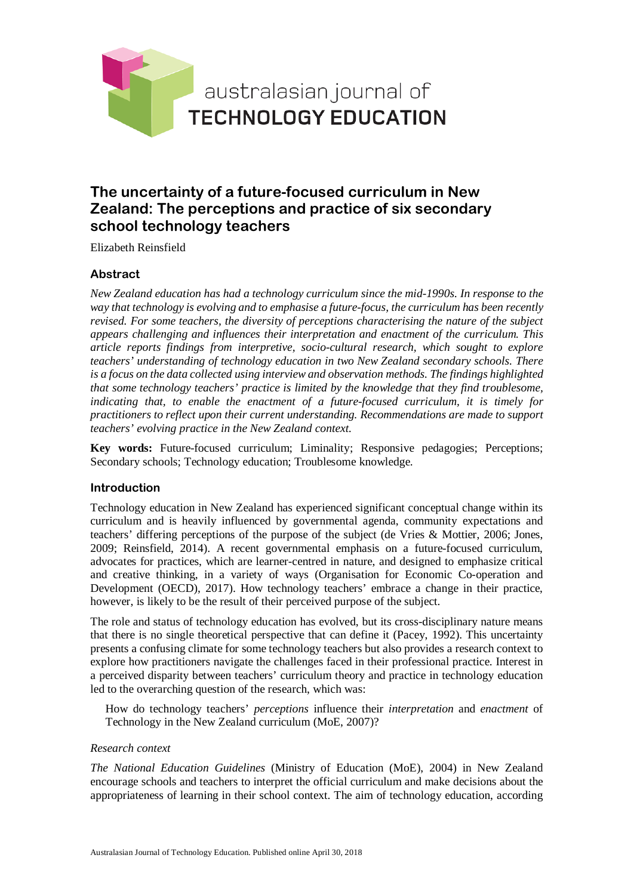

# **The uncertainty of a future-focused curriculum in New Zealand: The perceptions and practice of six secondary school technology teachers**

Elizabeth Reinsfield

# **Abstract**

*New Zealand education has had a technology curriculum since the mid-1990s. In response to the way that technology is evolving and to emphasise a future-focus, the curriculum has been recently revised. For some teachers, the diversity of perceptions characterising the nature of the subject appears challenging and influences their interpretation and enactment of the curriculum. This article reports findings from interpretive, socio-cultural research, which sought to explore teachers' understanding of technology education in two New Zealand secondary schools. There is a focus on the data collected using interview and observation methods. The findings highlighted that some technology teachers' practice is limited by the knowledge that they find troublesome, indicating that, to enable the enactment of a future-focused curriculum, it is timely for practitioners to reflect upon their current understanding. Recommendations are made to support teachers' evolving practice in the New Zealand context.*

**Key words:** Future-focused curriculum; Liminality; Responsive pedagogies; Perceptions; Secondary schools; Technology education; Troublesome knowledge.

### **Introduction**

Technology education in New Zealand has experienced significant conceptual change within its curriculum and is heavily influenced by governmental agenda, community expectations and teachers' differing perceptions of the purpose of the subject (de Vries & Mottier, 2006; Jones, 2009; Reinsfield, 2014). A recent governmental emphasis on a future-focused curriculum, advocates for practices, which are learner-centred in nature, and designed to emphasize critical and creative thinking, in a variety of ways (Organisation for Economic Co-operation and Development (OECD), 2017). How technology teachers' embrace a change in their practice, however, is likely to be the result of their perceived purpose of the subject.

The role and status of technology education has evolved, but its cross-disciplinary nature means that there is no single theoretical perspective that can define it (Pacey, 1992). This uncertainty presents a confusing climate for some technology teachers but also provides a research context to explore how practitioners navigate the challenges faced in their professional practice. Interest in a perceived disparity between teachers' curriculum theory and practice in technology education led to the overarching question of the research, which was:

How do technology teachers' *perceptions* influence their *interpretation* and *enactment* of Technology in the New Zealand curriculum (MoE, 2007)?

#### *Research context*

*The National Education Guidelines* (Ministry of Education (MoE), 2004) in New Zealand encourage schools and teachers to interpret the official curriculum and make decisions about the appropriateness of learning in their school context. The aim of technology education, according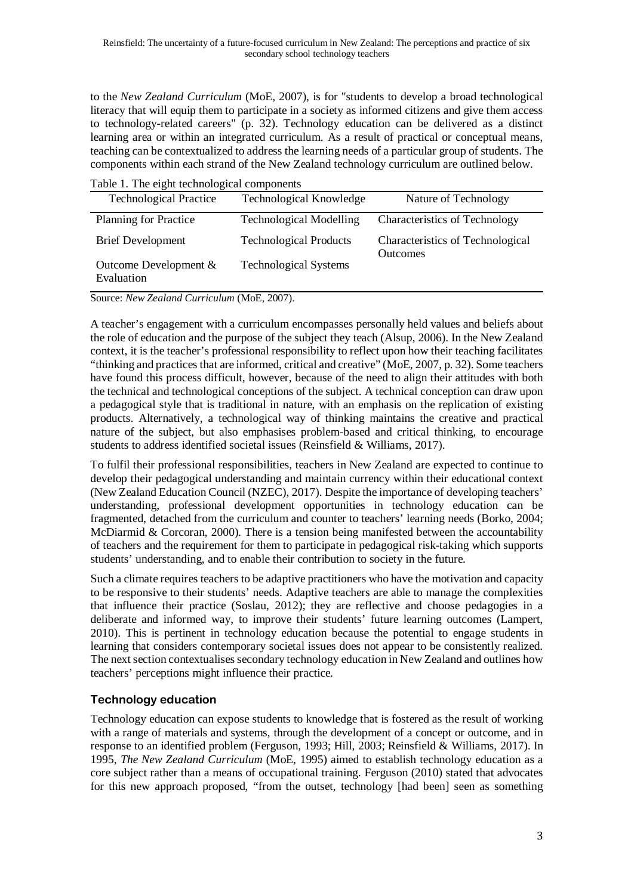to the *New Zealand Curriculum* (MoE, 2007), is for "students to develop a broad technological literacy that will equip them to participate in a society as informed citizens and give them access to technology-related careers" (p. 32). Technology education can be delivered as a distinct learning area or within an integrated curriculum. As a result of practical or conceptual means, teaching can be contextualized to address the learning needs of a particular group of students. The components within each strand of the New Zealand technology curriculum are outlined below.

Table 1. The eight technological components

| <b>Technological Practice</b>         | Technological Knowledge        | Nature of Technology                                |
|---------------------------------------|--------------------------------|-----------------------------------------------------|
| <b>Planning for Practice</b>          | <b>Technological Modelling</b> | <b>Characteristics of Technology</b>                |
| <b>Brief Development</b>              | <b>Technological Products</b>  | Characteristics of Technological<br><b>Outcomes</b> |
| Outcome Development $&$<br>Evaluation | <b>Technological Systems</b>   |                                                     |

Source: *New Zealand Curriculum* (MoE, 2007).

A teacher's engagement with a curriculum encompasses personally held values and beliefs about the role of education and the purpose of the subject they teach (Alsup, 2006). In the New Zealand context, it is the teacher's professional responsibility to reflect upon how their teaching facilitates "thinking and practices that are informed, critical and creative" (MoE, 2007, p. 32). Some teachers have found this process difficult, however, because of the need to align their attitudes with both the technical and technological conceptions of the subject. A technical conception can draw upon a pedagogical style that is traditional in nature, with an emphasis on the replication of existing products. Alternatively, a technological way of thinking maintains the creative and practical nature of the subject, but also emphasises problem-based and critical thinking, to encourage students to address identified societal issues (Reinsfield & Williams, 2017).

To fulfil their professional responsibilities, teachers in New Zealand are expected to continue to develop their pedagogical understanding and maintain currency within their educational context (New Zealand Education Council (NZEC), 2017). Despite the importance of developing teachers' understanding, professional development opportunities in technology education can be fragmented, detached from the curriculum and counter to teachers' learning needs (Borko, 2004; McDiarmid & Corcoran, 2000). There is a tension being manifested between the accountability of teachers and the requirement for them to participate in pedagogical risk-taking which supports students' understanding, and to enable their contribution to society in the future.

Such a climate requires teachers to be adaptive practitioners who have the motivation and capacity to be responsive to their students' needs. Adaptive teachers are able to manage the complexities that influence their practice (Soslau, 2012); they are reflective and choose pedagogies in a deliberate and informed way, to improve their students' future learning outcomes (Lampert, 2010). This is pertinent in technology education because the potential to engage students in learning that considers contemporary societal issues does not appear to be consistently realized. The next section contextualises secondary technology education in New Zealand and outlines how teachers' perceptions might influence their practice.

# **Technology education**

Technology education can expose students to knowledge that is fostered as the result of working with a range of materials and systems, through the development of a concept or outcome, and in response to an identified problem (Ferguson, 1993; Hill, 2003; Reinsfield & Williams, 2017). In 1995, *The New Zealand Curriculum* (MoE, 1995) aimed to establish technology education as a core subject rather than a means of occupational training. Ferguson (2010) stated that advocates for this new approach proposed, "from the outset, technology [had been] seen as something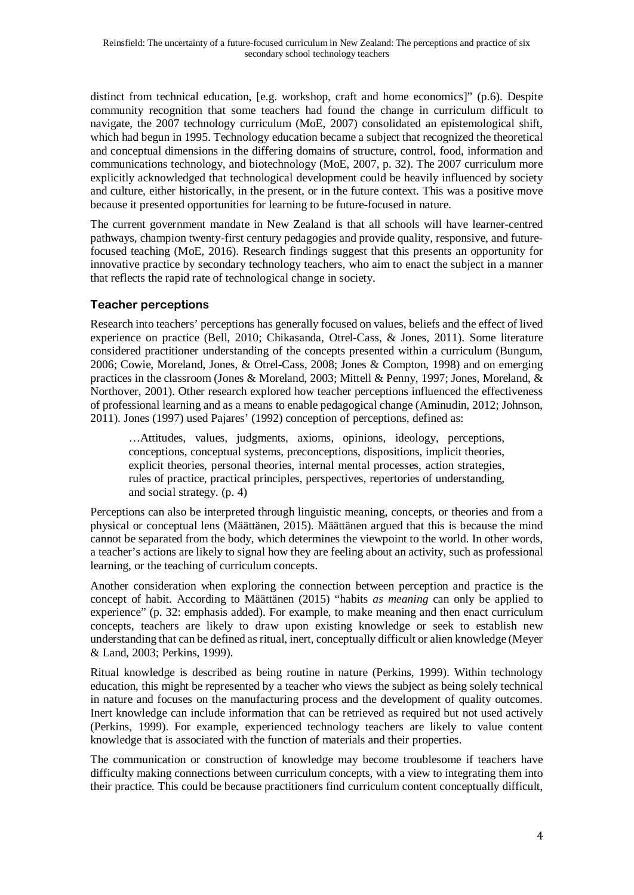distinct from technical education, [e.g. workshop, craft and home economics]" (p.6). Despite community recognition that some teachers had found the change in curriculum difficult to navigate, the 2007 technology curriculum (MoE, 2007) consolidated an epistemological shift, which had begun in 1995. Technology education became a subject that recognized the theoretical and conceptual dimensions in the differing domains of structure, control, food, information and communications technology, and biotechnology (MoE, 2007, p. 32). The 2007 curriculum more explicitly acknowledged that technological development could be heavily influenced by society and culture, either historically, in the present, or in the future context. This was a positive move because it presented opportunities for learning to be future-focused in nature.

The current government mandate in New Zealand is that all schools will have learner-centred pathways, champion twenty-first century pedagogies and provide quality, responsive, and futurefocused teaching (MoE, 2016). Research findings suggest that this presents an opportunity for innovative practice by secondary technology teachers, who aim to enact the subject in a manner that reflects the rapid rate of technological change in society.

### **Teacher perceptions**

Research into teachers' perceptions has generally focused on values, beliefs and the effect of lived experience on practice (Bell, 2010; Chikasanda, Otrel-Cass, & Jones, 2011). Some literature considered practitioner understanding of the concepts presented within a curriculum (Bungum, 2006; Cowie, Moreland, Jones, & Otrel-Cass, 2008; Jones & Compton, 1998) and on emerging practices in the classroom (Jones & Moreland, 2003; Mittell & Penny, 1997; Jones, Moreland, & Northover, 2001). Other research explored how teacher perceptions influenced the effectiveness of professional learning and as a means to enable pedagogical change (Aminudin, 2012; Johnson, 2011). Jones (1997) used Pajares' (1992) conception of perceptions, defined as:

…Attitudes, values, judgments, axioms, opinions, ideology, perceptions, conceptions, conceptual systems, preconceptions, dispositions, implicit theories, explicit theories, personal theories, internal mental processes, action strategies, rules of practice, practical principles, perspectives, repertories of understanding, and social strategy. (p. 4)

Perceptions can also be interpreted through linguistic meaning, concepts, or theories and from a physical or conceptual lens (Määttänen, 2015). Määttänen argued that this is because the mind cannot be separated from the body, which determines the viewpoint to the world. In other words, a teacher's actions are likely to signal how they are feeling about an activity, such as professional learning, or the teaching of curriculum concepts.

Another consideration when exploring the connection between perception and practice is the concept of habit. According to Määttänen (2015) "habits *as meaning* can only be applied to experience" (p. 32: emphasis added). For example, to make meaning and then enact curriculum concepts, teachers are likely to draw upon existing knowledge or seek to establish new understanding that can be defined as ritual, inert, conceptually difficult or alien knowledge (Meyer & Land, 2003; Perkins, 1999).

Ritual knowledge is described as being routine in nature (Perkins, 1999). Within technology education, this might be represented by a teacher who views the subject as being solely technical in nature and focuses on the manufacturing process and the development of quality outcomes. Inert knowledge can include information that can be retrieved as required but not used actively (Perkins, 1999). For example, experienced technology teachers are likely to value content knowledge that is associated with the function of materials and their properties.

The communication or construction of knowledge may become troublesome if teachers have difficulty making connections between curriculum concepts, with a view to integrating them into their practice. This could be because practitioners find curriculum content conceptually difficult,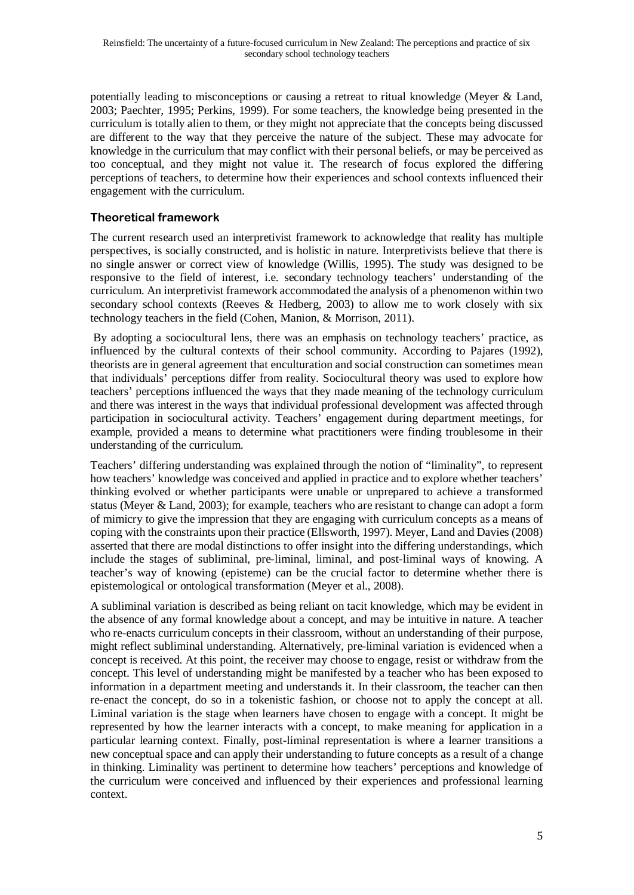potentially leading to misconceptions or causing a retreat to ritual knowledge (Meyer & Land, 2003; Paechter, 1995; Perkins, 1999). For some teachers, the knowledge being presented in the curriculum is totally alien to them, or they might not appreciate that the concepts being discussed are different to the way that they perceive the nature of the subject. These may advocate for knowledge in the curriculum that may conflict with their personal beliefs, or may be perceived as too conceptual, and they might not value it. The research of focus explored the differing perceptions of teachers, to determine how their experiences and school contexts influenced their engagement with the curriculum.

# **Theoretical framework**

The current research used an interpretivist framework to acknowledge that reality has multiple perspectives, is socially constructed, and is holistic in nature. Interpretivists believe that there is no single answer or correct view of knowledge (Willis, 1995). The study was designed to be responsive to the field of interest, i.e. secondary technology teachers' understanding of the curriculum. An interpretivist framework accommodated the analysis of a phenomenon within two secondary school contexts (Reeves  $\&$  Hedberg, 2003) to allow me to work closely with six technology teachers in the field (Cohen, Manion, & Morrison, 2011).

By adopting a sociocultural lens, there was an emphasis on technology teachers' practice, as influenced by the cultural contexts of their school community. According to Pajares (1992), theorists are in general agreement that enculturation and social construction can sometimes mean that individuals' perceptions differ from reality. Sociocultural theory was used to explore how teachers' perceptions influenced the ways that they made meaning of the technology curriculum and there was interest in the ways that individual professional development was affected through participation in sociocultural activity. Teachers' engagement during department meetings, for example, provided a means to determine what practitioners were finding troublesome in their understanding of the curriculum.

Teachers' differing understanding was explained through the notion of "liminality", to represent how teachers' knowledge was conceived and applied in practice and to explore whether teachers' thinking evolved or whether participants were unable or unprepared to achieve a transformed status (Meyer & Land, 2003); for example, teachers who are resistant to change can adopt a form of mimicry to give the impression that they are engaging with curriculum concepts as a means of coping with the constraints upon their practice (Ellsworth, 1997). Meyer, Land and Davies (2008) asserted that there are modal distinctions to offer insight into the differing understandings, which include the stages of subliminal, pre-liminal, liminal, and post-liminal ways of knowing. A teacher's way of knowing (episteme) can be the crucial factor to determine whether there is epistemological or ontological transformation (Meyer et al., 2008).

A subliminal variation is described as being reliant on tacit knowledge, which may be evident in the absence of any formal knowledge about a concept, and may be intuitive in nature. A teacher who re-enacts curriculum concepts in their classroom, without an understanding of their purpose, might reflect subliminal understanding. Alternatively, pre-liminal variation is evidenced when a concept is received. At this point, the receiver may choose to engage, resist or withdraw from the concept. This level of understanding might be manifested by a teacher who has been exposed to information in a department meeting and understands it. In their classroom, the teacher can then re-enact the concept, do so in a tokenistic fashion, or choose not to apply the concept at all. Liminal variation is the stage when learners have chosen to engage with a concept. It might be represented by how the learner interacts with a concept, to make meaning for application in a particular learning context. Finally, post-liminal representation is where a learner transitions a new conceptual space and can apply their understanding to future concepts as a result of a change in thinking. Liminality was pertinent to determine how teachers' perceptions and knowledge of the curriculum were conceived and influenced by their experiences and professional learning context.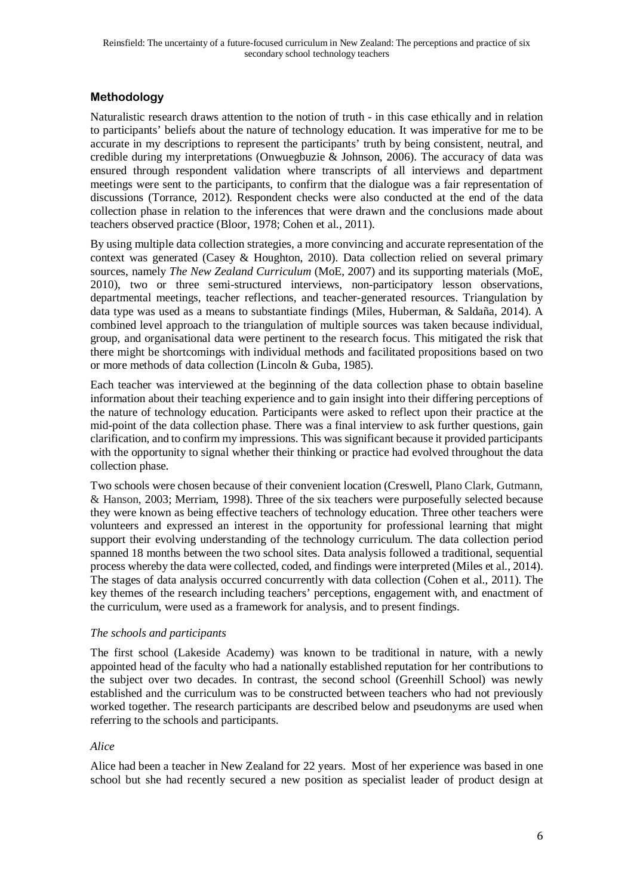# **Methodology**

Naturalistic research draws attention to the notion of truth - in this case ethically and in relation to participants' beliefs about the nature of technology education. It was imperative for me to be accurate in my descriptions to represent the participants' truth by being consistent, neutral, and credible during my interpretations (Onwuegbuzie & Johnson, 2006). The accuracy of data was ensured through respondent validation where transcripts of all interviews and department meetings were sent to the participants, to confirm that the dialogue was a fair representation of discussions (Torrance, 2012). Respondent checks were also conducted at the end of the data collection phase in relation to the inferences that were drawn and the conclusions made about teachers observed practice (Bloor, 1978; Cohen et al., 2011).

By using multiple data collection strategies, a more convincing and accurate representation of the context was generated (Casey & Houghton, 2010). Data collection relied on several primary sources, namely *The New Zealand Curriculum* (MoE, 2007) and its supporting materials (MoE, 2010), two or three semi-structured interviews, non-participatory lesson observations, departmental meetings, teacher reflections, and teacher-generated resources. Triangulation by data type was used as a means to substantiate findings (Miles, Huberman, & Saldaña, 2014). A combined level approach to the triangulation of multiple sources was taken because individual, group, and organisational data were pertinent to the research focus. This mitigated the risk that there might be shortcomings with individual methods and facilitated propositions based on two or more methods of data collection (Lincoln & Guba, 1985).

Each teacher was interviewed at the beginning of the data collection phase to obtain baseline information about their teaching experience and to gain insight into their differing perceptions of the nature of technology education. Participants were asked to reflect upon their practice at the mid-point of the data collection phase. There was a final interview to ask further questions, gain clarification, and to confirm my impressions. This was significant because it provided participants with the opportunity to signal whether their thinking or practice had evolved throughout the data collection phase.

Two schools were chosen because of their convenient location (Creswell, Plano Clark, Gutmann, & Hanson, 2003; Merriam, 1998). Three of the six teachers were purposefully selected because they were known as being effective teachers of technology education. Three other teachers were volunteers and expressed an interest in the opportunity for professional learning that might support their evolving understanding of the technology curriculum. The data collection period spanned 18 months between the two school sites. Data analysis followed a traditional, sequential process whereby the data were collected, coded, and findings were interpreted (Miles et al., 2014). The stages of data analysis occurred concurrently with data collection (Cohen et al., 2011). The key themes of the research including teachers' perceptions, engagement with, and enactment of the curriculum, were used as a framework for analysis, and to present findings.

### *The schools and participants*

The first school (Lakeside Academy) was known to be traditional in nature, with a newly appointed head of the faculty who had a nationally established reputation for her contributions to the subject over two decades. In contrast, the second school (Greenhill School) was newly established and the curriculum was to be constructed between teachers who had not previously worked together. The research participants are described below and pseudonyms are used when referring to the schools and participants.

### *Alice*

Alice had been a teacher in New Zealand for 22 years. Most of her experience was based in one school but she had recently secured a new position as specialist leader of product design at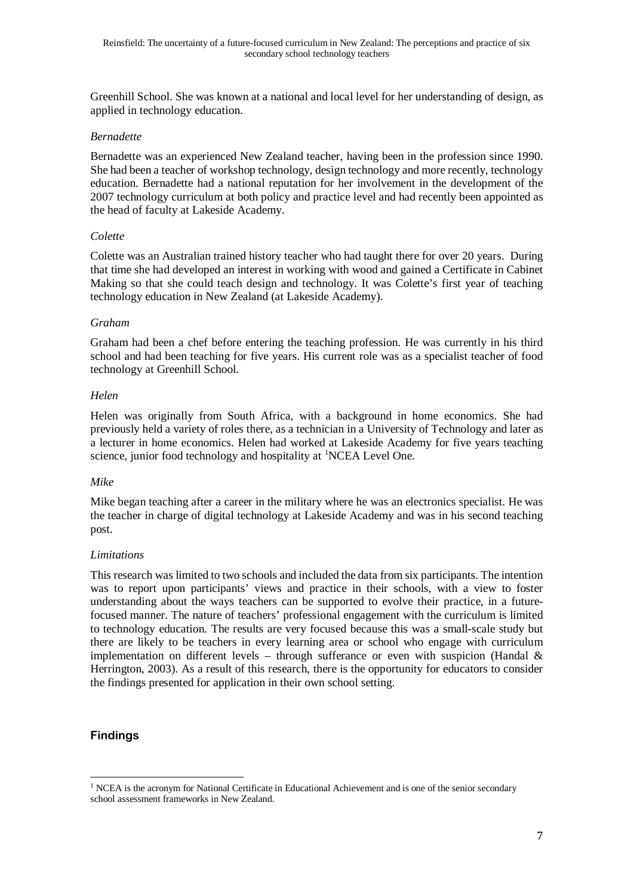Greenhill School. She was known at a national and local level for her understanding of design, as applied in technology education.

### *Bernadette*

Bernadette was an experienced New Zealand teacher, having been in the profession since 1990. She had been a teacher of workshop technology, design technology and more recently, technology education. Bernadette had a national reputation for her involvement in the development of the 2007 technology curriculum at both policy and practice level and had recently been appointed as the head of faculty at Lakeside Academy.

### *Colette*

Colette was an Australian trained history teacher who had taught there for over 20 years. During that time she had developed an interest in working with wood and gained a Certificate in Cabinet Making so that she could teach design and technology. It was Colette's first year of teaching technology education in New Zealand (at Lakeside Academy).

### *Graham*

Graham had been a chef before entering the teaching profession. He was currently in his third school and had been teaching for five years. His current role was as a specialist teacher of food technology at Greenhill School.

### *Helen*

Helen was originally from South Africa, with a background in home economics. She had previously held a variety of roles there, as a technician in a University of Technology and later as a lecturer in home economics. Helen had worked at Lakeside Academy for five years teaching science, junior food technology and hospitality at <sup>[1](#page-6-0)</sup>NCEA Level One.

#### *Mike*

Mike began teaching after a career in the military where he was an electronics specialist. He was the teacher in charge of digital technology at Lakeside Academy and was in his second teaching post.

#### *Limitations*

This research was limited to two schools and included the data from six participants. The intention was to report upon participants' views and practice in their schools, with a view to foster understanding about the ways teachers can be supported to evolve their practice, in a futurefocused manner. The nature of teachers' professional engagement with the curriculum is limited to technology education. The results are very focused because this was a small-scale study but there are likely to be teachers in every learning area or school who engage with curriculum implementation on different levels – through sufferance or even with suspicion (Handal  $\&$ Herrington, 2003). As a result of this research, there is the opportunity for educators to consider the findings presented for application in their own school setting.

### **Findings**

<span id="page-6-0"></span><sup>&</sup>lt;sup>1</sup> NCEA is the acronym for National Certificate in Educational Achievement and is one of the senior secondary school assessment frameworks in New Zealand.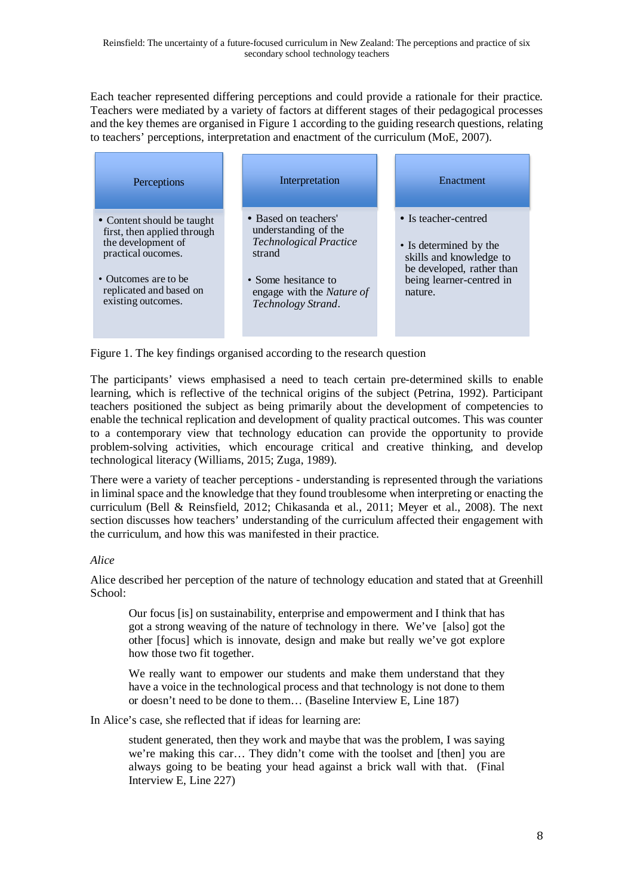Each teacher represented differing perceptions and could provide a rationale for their practice. Teachers were mediated by a variety of factors at different stages of their pedagogical processes and the key themes are organised in Figure 1 according to the guiding research questions, relating to teachers' perceptions, interpretation and enactment of the curriculum (MoE, 2007).

| Perceptions                                                                                                                                                                    | Interpretation                                                                                                                                                           | Enactment                                                                                                                                     |
|--------------------------------------------------------------------------------------------------------------------------------------------------------------------------------|--------------------------------------------------------------------------------------------------------------------------------------------------------------------------|-----------------------------------------------------------------------------------------------------------------------------------------------|
| • Content should be taught<br>first, then applied through<br>the development of<br>practical oucomes.<br>• Outcomes are to be<br>replicated and based on<br>existing outcomes. | • Based on teachers'<br>understanding of the<br><b>Technological Practice</b><br>strand<br>• Some hesitance to<br>engage with the <i>Nature of</i><br>Technology Strand. | • Is teacher-centred<br>• Is determined by the<br>skills and knowledge to<br>be developed, rather than<br>being learner-centred in<br>nature. |

Figure 1. The key findings organised according to the research question

The participants' views emphasised a need to teach certain pre-determined skills to enable learning, which is reflective of the technical origins of the subject (Petrina, 1992). Participant teachers positioned the subject as being primarily about the development of competencies to enable the technical replication and development of quality practical outcomes. This was counter to a contemporary view that technology education can provide the opportunity to provide problem-solving activities, which encourage critical and creative thinking, and develop technological literacy (Williams, 2015; Zuga, 1989).

There were a variety of teacher perceptions - understanding is represented through the variations in liminal space and the knowledge that they found troublesome when interpreting or enacting the curriculum (Bell & Reinsfield, 2012; Chikasanda et al., 2011; Meyer et al., 2008). The next section discusses how teachers' understanding of the curriculum affected their engagement with the curriculum, and how this was manifested in their practice.

### *Alice*

Alice described her perception of the nature of technology education and stated that at Greenhill School:

Our focus [is] on sustainability, enterprise and empowerment and I think that has got a strong weaving of the nature of technology in there. We've [also] got the other [focus] which is innovate, design and make but really we've got explore how those two fit together.

We really want to empower our students and make them understand that they have a voice in the technological process and that technology is not done to them or doesn't need to be done to them… (Baseline Interview E, Line 187)

In Alice's case, she reflected that if ideas for learning are:

student generated, then they work and maybe that was the problem, I was saying we're making this car… They didn't come with the toolset and [then] you are always going to be beating your head against a brick wall with that. (Final Interview E, Line 227)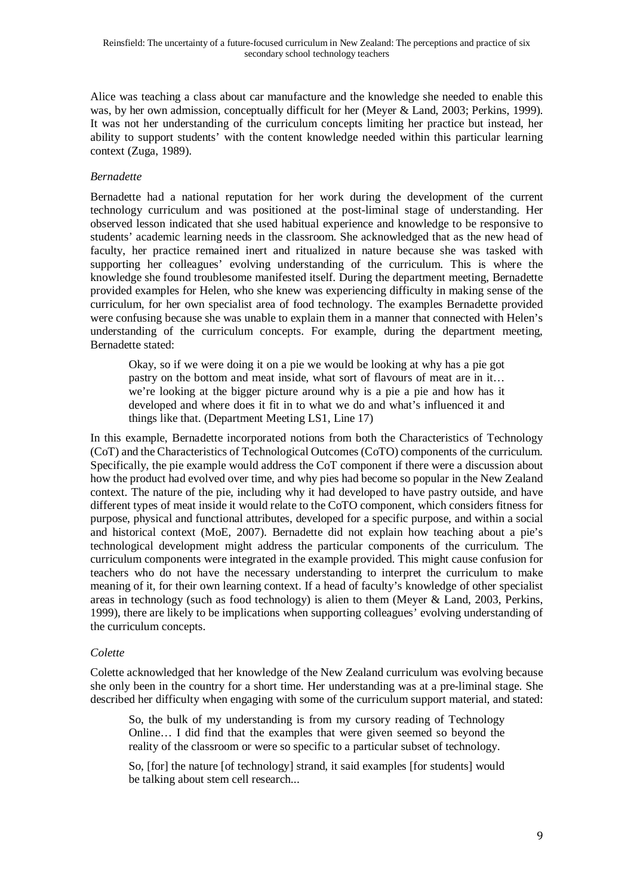Alice was teaching a class about car manufacture and the knowledge she needed to enable this was, by her own admission, conceptually difficult for her (Meyer & Land, 2003; Perkins, 1999). It was not her understanding of the curriculum concepts limiting her practice but instead, her ability to support students' with the content knowledge needed within this particular learning context (Zuga, 1989).

### *Bernadette*

Bernadette had a national reputation for her work during the development of the current technology curriculum and was positioned at the post-liminal stage of understanding. Her observed lesson indicated that she used habitual experience and knowledge to be responsive to students' academic learning needs in the classroom. She acknowledged that as the new head of faculty, her practice remained inert and ritualized in nature because she was tasked with supporting her colleagues' evolving understanding of the curriculum. This is where the knowledge she found troublesome manifested itself. During the department meeting, Bernadette provided examples for Helen, who she knew was experiencing difficulty in making sense of the curriculum, for her own specialist area of food technology. The examples Bernadette provided were confusing because she was unable to explain them in a manner that connected with Helen's understanding of the curriculum concepts. For example, during the department meeting, Bernadette stated:

Okay, so if we were doing it on a pie we would be looking at why has a pie got pastry on the bottom and meat inside, what sort of flavours of meat are in it… we're looking at the bigger picture around why is a pie a pie and how has it developed and where does it fit in to what we do and what's influenced it and things like that. (Department Meeting LS1, Line 17)

In this example, Bernadette incorporated notions from both the Characteristics of Technology (CoT) and the Characteristics of Technological Outcomes (CoTO) components of the curriculum. Specifically, the pie example would address the CoT component if there were a discussion about how the product had evolved over time, and why pies had become so popular in the New Zealand context. The nature of the pie, including why it had developed to have pastry outside, and have different types of meat inside it would relate to the CoTO component, which considers fitness for purpose, physical and functional attributes, developed for a specific purpose, and within a social and historical context (MoE, 2007). Bernadette did not explain how teaching about a pie's technological development might address the particular components of the curriculum. The curriculum components were integrated in the example provided. This might cause confusion for teachers who do not have the necessary understanding to interpret the curriculum to make meaning of it, for their own learning context. If a head of faculty's knowledge of other specialist areas in technology (such as food technology) is alien to them (Meyer & Land, 2003, Perkins, 1999), there are likely to be implications when supporting colleagues' evolving understanding of the curriculum concepts.

#### *Colette*

Colette acknowledged that her knowledge of the New Zealand curriculum was evolving because she only been in the country for a short time. Her understanding was at a pre-liminal stage. She described her difficulty when engaging with some of the curriculum support material, and stated:

So, the bulk of my understanding is from my cursory reading of Technology Online… I did find that the examples that were given seemed so beyond the reality of the classroom or were so specific to a particular subset of technology.

So, [for] the nature [of technology] strand, it said examples [for students] would be talking about stem cell research...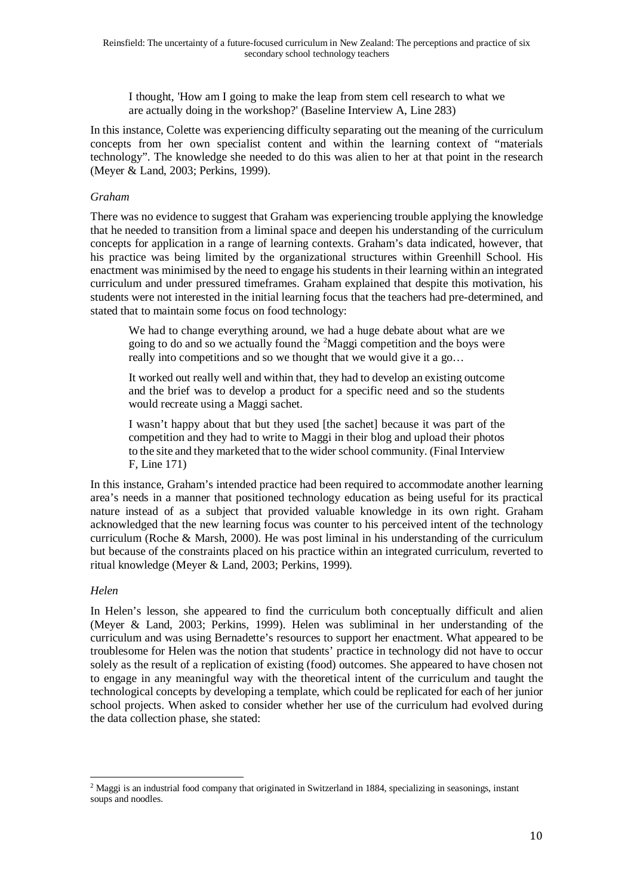I thought, 'How am I going to make the leap from stem cell research to what we are actually doing in the workshop?' (Baseline Interview A, Line 283)

In this instance, Colette was experiencing difficulty separating out the meaning of the curriculum concepts from her own specialist content and within the learning context of "materials technology". The knowledge she needed to do this was alien to her at that point in the research (Meyer & Land, 2003; Perkins, 1999).

### *Graham*

There was no evidence to suggest that Graham was experiencing trouble applying the knowledge that he needed to transition from a liminal space and deepen his understanding of the curriculum concepts for application in a range of learning contexts. Graham's data indicated, however, that his practice was being limited by the organizational structures within Greenhill School. His enactment was minimised by the need to engage his students in their learning within an integrated curriculum and under pressured timeframes. Graham explained that despite this motivation, his students were not interested in the initial learning focus that the teachers had pre-determined, and stated that to maintain some focus on food technology:

We had to change everything around, we had a huge debate about what are we going to do and so we actually found the  ${}^{2}$  ${}^{2}$  ${}^{2}$ Maggi competition and the boys were really into competitions and so we thought that we would give it a go…

It worked out really well and within that, they had to develop an existing outcome and the brief was to develop a product for a specific need and so the students would recreate using a Maggi sachet.

I wasn't happy about that but they used [the sachet] because it was part of the competition and they had to write to Maggi in their blog and upload their photos to the site and they marketed that to the wider school community. (Final Interview F, Line 171)

In this instance, Graham's intended practice had been required to accommodate another learning area's needs in a manner that positioned technology education as being useful for its practical nature instead of as a subject that provided valuable knowledge in its own right. Graham acknowledged that the new learning focus was counter to his perceived intent of the technology curriculum (Roche & Marsh, 2000). He was post liminal in his understanding of the curriculum but because of the constraints placed on his practice within an integrated curriculum, reverted to ritual knowledge (Meyer & Land, 2003; Perkins, 1999).

#### *Helen*

In Helen's lesson, she appeared to find the curriculum both conceptually difficult and alien (Meyer & Land, 2003; Perkins, 1999). Helen was subliminal in her understanding of the curriculum and was using Bernadette's resources to support her enactment. What appeared to be troublesome for Helen was the notion that students' practice in technology did not have to occur solely as the result of a replication of existing (food) outcomes. She appeared to have chosen not to engage in any meaningful way with the theoretical intent of the curriculum and taught the technological concepts by developing a template, which could be replicated for each of her junior school projects. When asked to consider whether her use of the curriculum had evolved during the data collection phase, she stated:

<span id="page-9-0"></span><sup>2</sup> Maggi is an industrial food company that originated in Switzerland in 1884, specializing in seasonings, instant soups and noodles.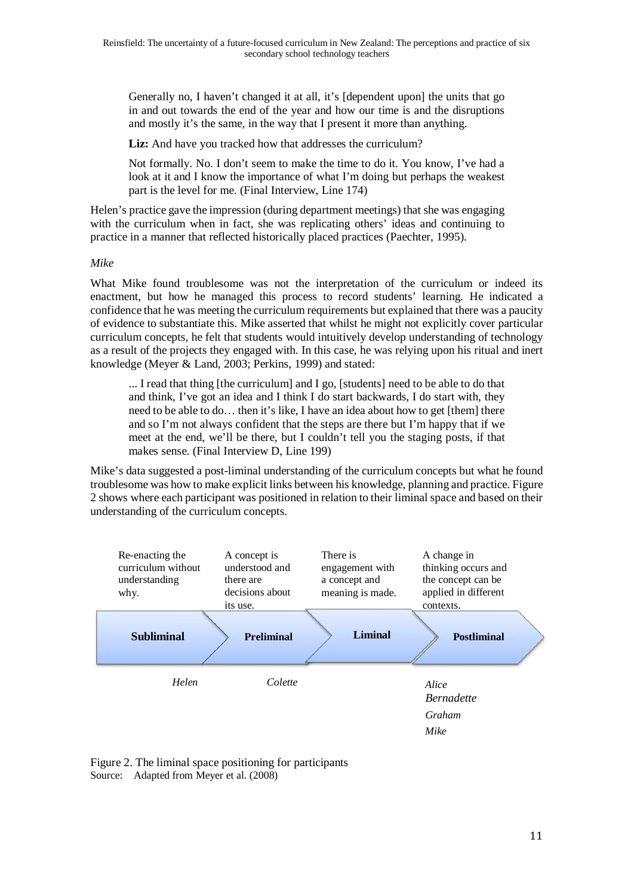Generally no, I haven't changed it at all, it's [dependent upon] the units that go in and out towards the end of the year and how our time is and the disruptions and mostly it's the same, in the way that I present it more than anything.

**Liz:** And have you tracked how that addresses the curriculum?

Not formally. No. I don't seem to make the time to do it. You know, I've had a look at it and I know the importance of what I'm doing but perhaps the weakest part is the level for me. (Final Interview, Line 174)

Helen's practice gave the impression (during department meetings) that she was engaging with the curriculum when in fact, she was replicating others' ideas and continuing to practice in a manner that reflected historically placed practices (Paechter, 1995).

#### *Mike*

What Mike found troublesome was not the interpretation of the curriculum or indeed its enactment, but how he managed this process to record students' learning. He indicated a confidence that he was meeting the curriculum requirements but explained that there was a paucity of evidence to substantiate this. Mike asserted that whilst he might not explicitly cover particular curriculum concepts, he felt that students would intuitively develop understanding of technology as a result of the projects they engaged with. In this case, he was relying upon his ritual and inert knowledge (Meyer & Land, 2003; Perkins, 1999) and stated:

... I read that thing [the curriculum] and I go, [students] need to be able to do that and think, I've got an idea and I think I do start backwards, I do start with, they need to be able to do… then it's like, I have an idea about how to get [them] there and so I'm not always confident that the steps are there but I'm happy that if we meet at the end, we'll be there, but I couldn't tell you the staging posts, if that makes sense. (Final Interview D, Line 199)

Mike's data suggested a post-liminal understanding of the curriculum concepts but what he found troublesome was how to make explicit links between his knowledge, planning and practice. Figure 2 shows where each participant was positioned in relation to their liminal space and based on their understanding of the curriculum concepts.



Figure 2. The liminal space positioning for participants Source: Adapted from Meyer et al. (2008)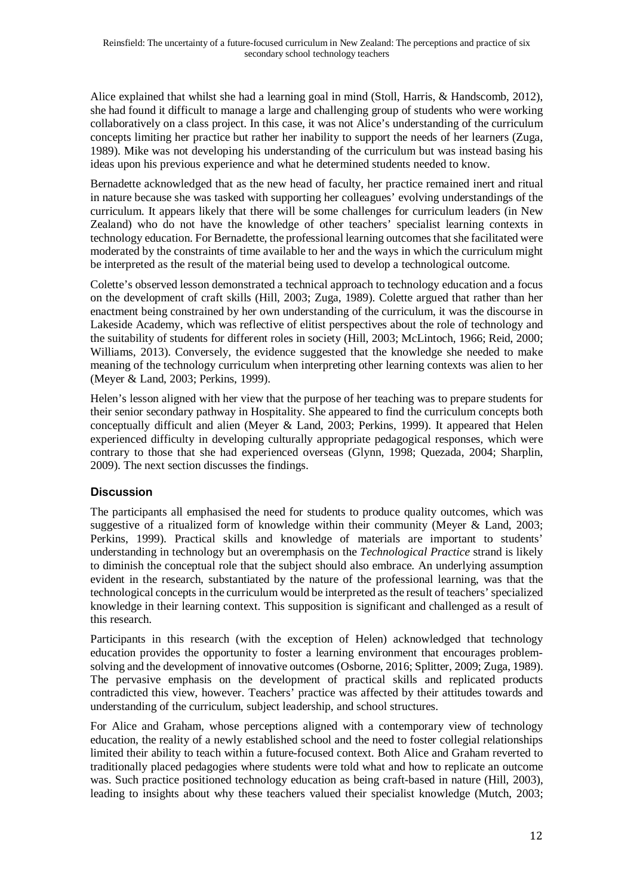Alice explained that whilst she had a learning goal in mind (Stoll, Harris, & Handscomb, 2012), she had found it difficult to manage a large and challenging group of students who were working collaboratively on a class project. In this case, it was not Alice's understanding of the curriculum concepts limiting her practice but rather her inability to support the needs of her learners (Zuga, 1989). Mike was not developing his understanding of the curriculum but was instead basing his ideas upon his previous experience and what he determined students needed to know.

Bernadette acknowledged that as the new head of faculty, her practice remained inert and ritual in nature because she was tasked with supporting her colleagues' evolving understandings of the curriculum. It appears likely that there will be some challenges for curriculum leaders (in New Zealand) who do not have the knowledge of other teachers' specialist learning contexts in technology education. For Bernadette, the professional learning outcomes that she facilitated were moderated by the constraints of time available to her and the ways in which the curriculum might be interpreted as the result of the material being used to develop a technological outcome.

Colette's observed lesson demonstrated a technical approach to technology education and a focus on the development of craft skills (Hill, 2003; Zuga, 1989). Colette argued that rather than her enactment being constrained by her own understanding of the curriculum, it was the discourse in Lakeside Academy, which was reflective of elitist perspectives about the role of technology and the suitability of students for different roles in society (Hill, 2003; McLintoch, 1966; Reid, 2000; Williams, 2013). Conversely, the evidence suggested that the knowledge she needed to make meaning of the technology curriculum when interpreting other learning contexts was alien to her (Meyer & Land, 2003; Perkins, 1999).

Helen's lesson aligned with her view that the purpose of her teaching was to prepare students for their senior secondary pathway in Hospitality. She appeared to find the curriculum concepts both conceptually difficult and alien (Meyer & Land, 2003; Perkins, 1999). It appeared that Helen experienced difficulty in developing culturally appropriate pedagogical responses, which were contrary to those that she had experienced overseas (Glynn, 1998; Quezada, 2004; Sharplin, 2009). The next section discusses the findings.

# **Discussion**

The participants all emphasised the need for students to produce quality outcomes, which was suggestive of a ritualized form of knowledge within their community (Meyer & Land, 2003; Perkins, 1999). Practical skills and knowledge of materials are important to students' understanding in technology but an overemphasis on the *Technological Practice* strand is likely to diminish the conceptual role that the subject should also embrace. An underlying assumption evident in the research, substantiated by the nature of the professional learning, was that the technological concepts in the curriculum would be interpreted as the result of teachers' specialized knowledge in their learning context. This supposition is significant and challenged as a result of this research.

Participants in this research (with the exception of Helen) acknowledged that technology education provides the opportunity to foster a learning environment that encourages problemsolving and the development of innovative outcomes (Osborne, 2016; Splitter, 2009; Zuga, 1989). The pervasive emphasis on the development of practical skills and replicated products contradicted this view, however. Teachers' practice was affected by their attitudes towards and understanding of the curriculum, subject leadership, and school structures.

For Alice and Graham, whose perceptions aligned with a contemporary view of technology education, the reality of a newly established school and the need to foster collegial relationships limited their ability to teach within a future-focused context. Both Alice and Graham reverted to traditionally placed pedagogies where students were told what and how to replicate an outcome was. Such practice positioned technology education as being craft-based in nature (Hill, 2003), leading to insights about why these teachers valued their specialist knowledge (Mutch, 2003;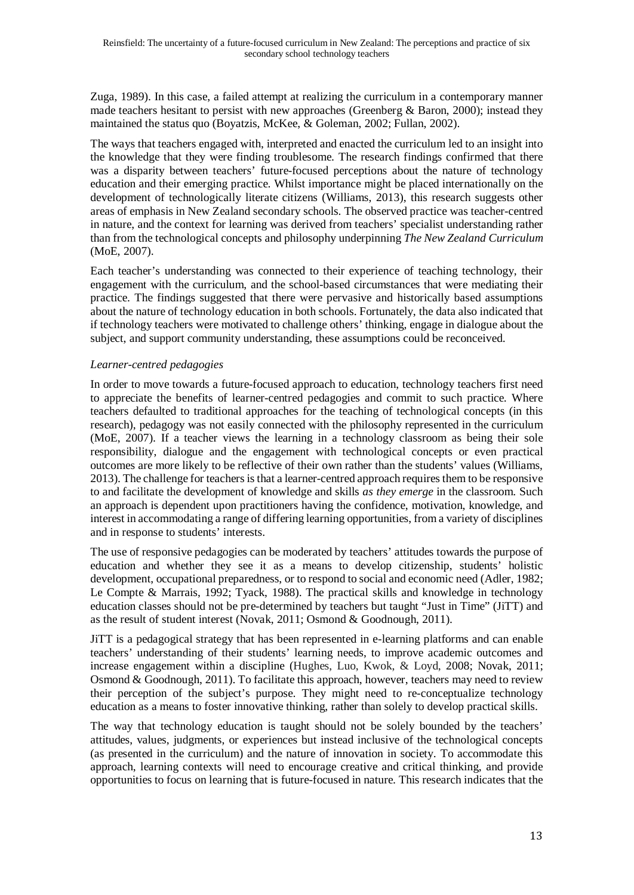Zuga, 1989). In this case, a failed attempt at realizing the curriculum in a contemporary manner made teachers hesitant to persist with new approaches (Greenberg & Baron, 2000); instead they maintained the status quo (Boyatzis, McKee, & Goleman, 2002; Fullan, 2002).

The ways that teachers engaged with, interpreted and enacted the curriculum led to an insight into the knowledge that they were finding troublesome. The research findings confirmed that there was a disparity between teachers' future-focused perceptions about the nature of technology education and their emerging practice. Whilst importance might be placed internationally on the development of technologically literate citizens (Williams, 2013), this research suggests other areas of emphasis in New Zealand secondary schools. The observed practice was teacher-centred in nature, and the context for learning was derived from teachers' specialist understanding rather than from the technological concepts and philosophy underpinning *The New Zealand Curriculum* (MoE, 2007).

Each teacher's understanding was connected to their experience of teaching technology, their engagement with the curriculum, and the school-based circumstances that were mediating their practice. The findings suggested that there were pervasive and historically based assumptions about the nature of technology education in both schools. Fortunately, the data also indicated that if technology teachers were motivated to challenge others' thinking, engage in dialogue about the subject, and support community understanding, these assumptions could be reconceived.

### *Learner-centred pedagogies*

In order to move towards a future-focused approach to education, technology teachers first need to appreciate the benefits of learner-centred pedagogies and commit to such practice. Where teachers defaulted to traditional approaches for the teaching of technological concepts (in this research), pedagogy was not easily connected with the philosophy represented in the curriculum (MoE, 2007). If a teacher views the learning in a technology classroom as being their sole responsibility, dialogue and the engagement with technological concepts or even practical outcomes are more likely to be reflective of their own rather than the students' values (Williams, 2013). The challenge for teachers is that a learner-centred approach requires them to be responsive to and facilitate the development of knowledge and skills *as they emerge* in the classroom. Such an approach is dependent upon practitioners having the confidence, motivation, knowledge, and interest in accommodating a range of differing learning opportunities, from a variety of disciplines and in response to students' interests.

The use of responsive pedagogies can be moderated by teachers' attitudes towards the purpose of education and whether they see it as a means to develop citizenship, students' holistic development, occupational preparedness, or to respond to social and economic need (Adler, 1982; Le Compte & Marrais, 1992; Tyack, 1988). The practical skills and knowledge in technology education classes should not be pre-determined by teachers but taught "Just in Time" (JiTT) and as the result of student interest (Novak, 2011; Osmond & Goodnough, 2011).

JiTT is a pedagogical strategy that has been represented in e-learning platforms and can enable teachers' understanding of their students' learning needs, to improve academic outcomes and increase engagement within a discipline (Hughes, Luo, Kwok, & Loyd, 2008; Novak, 2011; Osmond & Goodnough, 2011). To facilitate this approach, however, teachers may need to review their perception of the subject's purpose. They might need to re-conceptualize technology education as a means to foster innovative thinking, rather than solely to develop practical skills.

The way that technology education is taught should not be solely bounded by the teachers' attitudes, values, judgments, or experiences but instead inclusive of the technological concepts (as presented in the curriculum) and the nature of innovation in society. To accommodate this approach, learning contexts will need to encourage creative and critical thinking, and provide opportunities to focus on learning that is future-focused in nature. This research indicates that the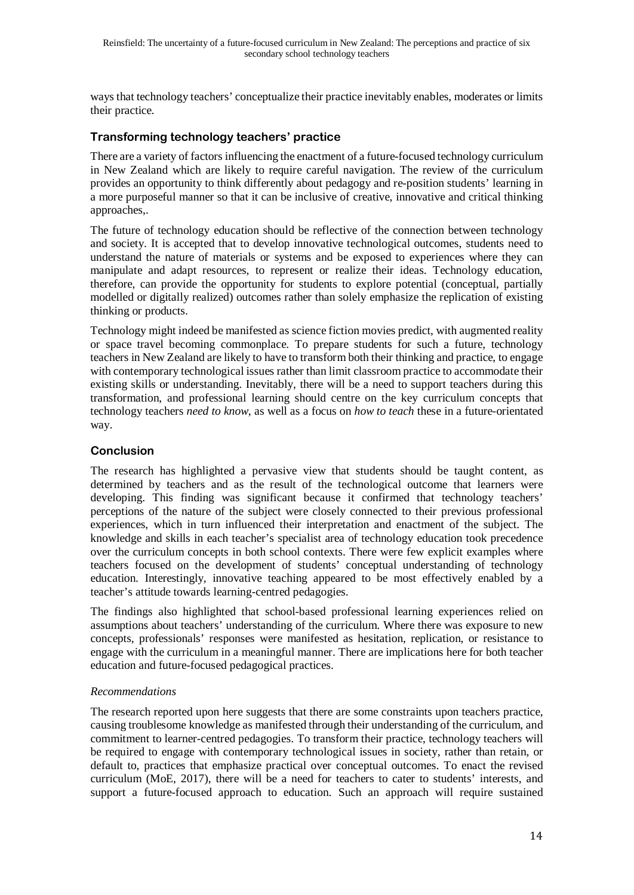ways that technology teachers' conceptualize their practice inevitably enables, moderates or limits their practice.

### **Transforming technology teachers' practice**

There are a variety of factors influencing the enactment of a future-focused technology curriculum in New Zealand which are likely to require careful navigation. The review of the curriculum provides an opportunity to think differently about pedagogy and re-position students' learning in a more purposeful manner so that it can be inclusive of creative, innovative and critical thinking approaches,.

The future of technology education should be reflective of the connection between technology and society. It is accepted that to develop innovative technological outcomes, students need to understand the nature of materials or systems and be exposed to experiences where they can manipulate and adapt resources, to represent or realize their ideas. Technology education, therefore, can provide the opportunity for students to explore potential (conceptual, partially modelled or digitally realized) outcomes rather than solely emphasize the replication of existing thinking or products.

Technology might indeed be manifested as science fiction movies predict, with augmented reality or space travel becoming commonplace. To prepare students for such a future, technology teachers in New Zealand are likely to have to transform both their thinking and practice, to engage with contemporary technological issues rather than limit classroom practice to accommodate their existing skills or understanding. Inevitably, there will be a need to support teachers during this transformation, and professional learning should centre on the key curriculum concepts that technology teachers *need to know*, as well as a focus on *how to teach* these in a future-orientated way.

### **Conclusion**

The research has highlighted a pervasive view that students should be taught content, as determined by teachers and as the result of the technological outcome that learners were developing. This finding was significant because it confirmed that technology teachers' perceptions of the nature of the subject were closely connected to their previous professional experiences, which in turn influenced their interpretation and enactment of the subject. The knowledge and skills in each teacher's specialist area of technology education took precedence over the curriculum concepts in both school contexts. There were few explicit examples where teachers focused on the development of students' conceptual understanding of technology education. Interestingly, innovative teaching appeared to be most effectively enabled by a teacher's attitude towards learning-centred pedagogies.

The findings also highlighted that school-based professional learning experiences relied on assumptions about teachers' understanding of the curriculum. Where there was exposure to new concepts, professionals' responses were manifested as hesitation, replication, or resistance to engage with the curriculum in a meaningful manner. There are implications here for both teacher education and future-focused pedagogical practices.

#### *Recommendations*

The research reported upon here suggests that there are some constraints upon teachers practice, causing troublesome knowledge as manifested through their understanding of the curriculum, and commitment to learner-centred pedagogies. To transform their practice, technology teachers will be required to engage with contemporary technological issues in society, rather than retain, or default to, practices that emphasize practical over conceptual outcomes. To enact the revised curriculum (MoE, 2017), there will be a need for teachers to cater to students' interests, and support a future-focused approach to education. Such an approach will require sustained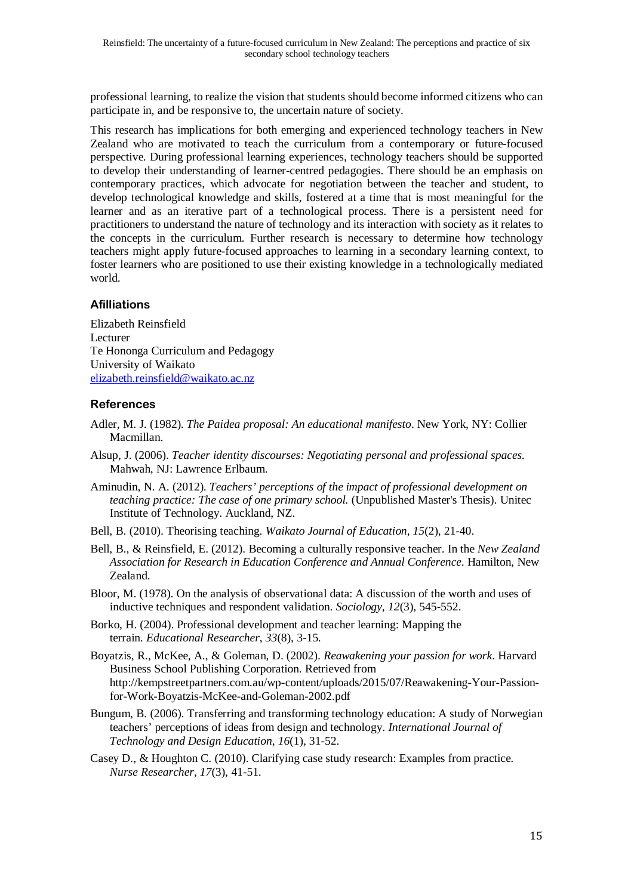professional learning, to realize the vision that students should become informed citizens who can participate in, and be responsive to, the uncertain nature of society.

This research has implications for both emerging and experienced technology teachers in New Zealand who are motivated to teach the curriculum from a contemporary or future-focused perspective. During professional learning experiences, technology teachers should be supported to develop their understanding of learner-centred pedagogies. There should be an emphasis on contemporary practices, which advocate for negotiation between the teacher and student, to develop technological knowledge and skills, fostered at a time that is most meaningful for the learner and as an iterative part of a technological process. There is a persistent need for practitioners to understand the nature of technology and its interaction with society as it relates to the concepts in the curriculum. Further research is necessary to determine how technology teachers might apply future-focused approaches to learning in a secondary learning context, to foster learners who are positioned to use their existing knowledge in a technologically mediated world.

### **Afilliations**

Elizabeth Reinsfield Lecturer Te Hononga Curriculum and Pedagogy University of Waikato [elizabeth.reinsfield@waikato.ac.nz](mailto:elizabeth.reinsfield@waikato.ac.nz)

# **References**

- Adler, M. J. (1982). *The Paidea proposal: An educational manifesto*. New York, NY: Collier Macmillan.
- Alsup, J. (2006). *Teacher identity discourses: Negotiating personal and professional spaces.* Mahwah, NJ: Lawrence Erlbaum.
- Aminudin, N. A. (2012). *Teachers' perceptions of the impact of professional development on teaching practice: The case of one primary school.* (Unpublished Master's Thesis). Unitec Institute of Technology. Auckland, NZ.
- Bell, B. (2010). Theorising teaching. *Waikato Journal of Education*, *15*(2), 21-40.
- Bell, B., & Reinsfield, E. (2012). Becoming a culturally responsive teacher. In the *New Zealand Association for Research in Education Conference and Annual Conference*. Hamilton, New Zealand.
- Bloor, M. (1978). On the analysis of observational data: A discussion of the worth and uses of inductive techniques and respondent validation. *Sociology*, *12*(3), 545-552.
- Borko, H. (2004). Professional development and teacher learning: Mapping the terrain. *Educational Researcher*, *33*(8), 3-15.
- Boyatzis, R., McKee, A., & Goleman, D. (2002). *Reawakening your passion for work*. Harvard Business School Publishing Corporation. Retrieved from http://kempstreetpartners.com.au/wp-content/uploads/2015/07/Reawakening-Your-Passionfor-Work-Boyatzis-McKee-and-Goleman-2002.pdf
- Bungum, B. (2006). Transferring and transforming technology education: A study of Norwegian teachers' perceptions of ideas from design and technology. *International Journal of Technology and Design Education*, *16*(1), 31-52.
- Casey D., & Houghton C. (2010). Clarifying case study research: Examples from practice. *Nurse Researcher, 17*(3), 41-51.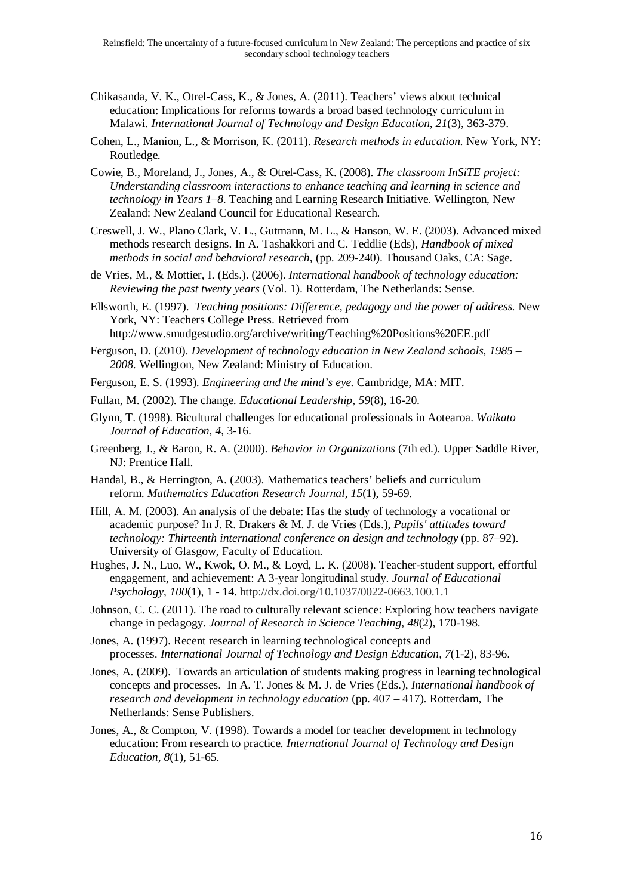- Chikasanda, V. K., Otrel-Cass, K., & Jones, A. (2011). Teachers' views about technical education: Implications for reforms towards a broad based technology curriculum in Malawi. *International Journal of Technology and Design Education*, *21*(3), 363-379.
- Cohen, L., Manion, L., & Morrison, K. (2011). *Research methods in education.* New York, NY: Routledge.
- Cowie, B., Moreland, J., Jones, A., & Otrel-Cass, K. (2008). *The classroom InSiTE project: Understanding classroom interactions to enhance teaching and learning in science and technology in Years 1–8.* Teaching and Learning Research Initiative. Wellington, New Zealand: New Zealand Council for Educational Research.
- Creswell, J. W., Plano Clark, V. L., Gutmann, M. L., & Hanson, W. E. (2003). Advanced mixed methods research designs. In A. Tashakkori and C. Teddlie (Eds), *Handbook of mixed methods in social and behavioral research*, (pp. 209-240). Thousand Oaks, CA: Sage.
- de Vries, M., & Mottier, I. (Eds.). (2006). *International handbook of technology education: Reviewing the past twenty years* (Vol. 1). Rotterdam, The Netherlands: Sense.
- Ellsworth, E. (1997). *Teaching positions: Difference, pedagogy and the power of address.* New York, NY: Teachers College Press. Retrieved from http://www.smudgestudio.org/archive/writing/Teaching%20Positions%20EE.pdf
- Ferguson, D. (2010). *Development of technology education in New Zealand schools, 1985 – 2008.* Wellington, New Zealand: Ministry of Education.
- Ferguson, E. S. (1993). *Engineering and the mind's eye.* Cambridge, MA: MIT.
- Fullan, M. (2002). The change. *Educational Leadership*, *59*(8), 16-20.
- Glynn, T. (1998). Bicultural challenges for educational professionals in Aotearoa. *Waikato Journal of Education, 4*, 3-16.
- Greenberg, J., & Baron, R. A. (2000). *Behavior in Organizations* (7th ed.). Upper Saddle River, NJ: Prentice Hall.
- Handal, B., & Herrington, A. (2003). Mathematics teachers' beliefs and curriculum reform. *Mathematics Education Research Journal*, *15*(1), 59-69.
- Hill, A. M. (2003). An analysis of the debate: Has the study of technology a vocational or academic purpose? In J. R. Drakers & M. J. de Vries (Eds.), *Pupils' attitudes toward technology: Thirteenth international conference on design and technology* (pp. 87–92). University of Glasgow, Faculty of Education.
- Hughes, J. N., Luo, W., Kwok, O. M., & Loyd, L. K. (2008). Teacher-student support, effortful engagement, and achievement: A 3-year longitudinal study. *Journal of Educational Psychology*, *100*(1), 1 - 14. http://dx.doi.org/10.1037/0022-0663.100.1.1
- Johnson, C. C. (2011). The road to culturally relevant science: Exploring how teachers navigate change in pedagogy. *Journal of Research in Science Teaching*, *48*(2), 170-198.
- Jones, A. (1997). Recent research in learning technological concepts and processes. *International Journal of Technology and Design Education*, *7*(1-2), 83-96.
- Jones, A. (2009). Towards an articulation of students making progress in learning technological concepts and processes. In A. T. Jones & M. J. de Vries (Eds.), *International handbook of research and development in technology education* (pp. 407 – 417). Rotterdam, The Netherlands: Sense Publishers.
- Jones, A., & Compton, V. (1998). Towards a model for teacher development in technology education: From research to practice. *International Journal of Technology and Design Education*, *8*(1), 51-65.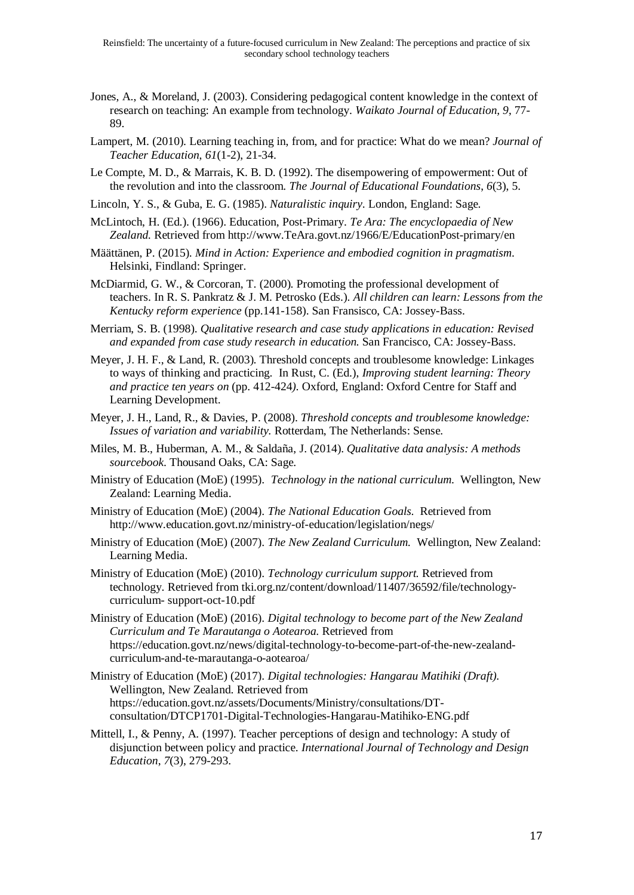- Jones, A., & Moreland, J. (2003). Considering pedagogical content knowledge in the context of research on teaching: An example from technology. *Waikato Journal of Education, 9*, 77- 89.
- Lampert, M. (2010). Learning teaching in, from, and for practice: What do we mean? *Journal of Teacher Education*, *61*(1-2), 21-34.
- Le Compte, M. D., & Marrais, K. B. D. (1992). The disempowering of empowerment: Out of the revolution and into the classroom. *The Journal of Educational Foundations*, *6*(3), 5.
- Lincoln, Y. S., & Guba, E. G. (1985). *Naturalistic inquiry*. London, England: Sage.
- McLintoch, H. (Ed.). (1966). Education, Post-Primary. *Te Ara: The encyclopaedia of New Zealand.* Retrieved from http://www.TeAra.govt.nz/1966/E/EducationPost-primary/en
- Määttänen, P. (2015). *Mind in Action: Experience and embodied cognition in pragmatism*. Helsinki, Findland: Springer.
- McDiarmid, G. W., & Corcoran, T. (2000). Promoting the professional development of teachers. In R. S. Pankratz & J. M. Petrosko (Eds.). *All children can learn: Lessons from the Kentucky reform experience* (pp.141-158). San Fransisco, CA: Jossey-Bass.
- Merriam, S. B. (1998). *Qualitative research and case study applications in education: Revised and expanded from case study research in education.* San Francisco, CA: Jossey-Bass.
- Meyer, J. H. F., & Land, R. (2003). Threshold concepts and troublesome knowledge: Linkages to ways of thinking and practicing. In Rust, C. (Ed.), *Improving student learning: Theory and practice ten years on* (pp. 412-424*).* Oxford, England: Oxford Centre for Staff and Learning Development.
- Meyer, J. H., Land, R., & Davies, P. (2008). *Threshold concepts and troublesome knowledge: Issues of variation and variability.* Rotterdam, The Netherlands: Sense.
- Miles, M. B., Huberman, A. M., & Saldaña, J. (2014). *Qualitative data analysis: A methods sourcebook*. Thousand Oaks, CA: Sage.
- Ministry of Education (MoE) (1995). *Technology in the national curriculum*. Wellington, New Zealand: Learning Media.
- Ministry of Education (MoE) (2004). *The National Education Goals.* Retrieved from http://www.education.govt.nz/ministry-of-education/legislation/negs/
- Ministry of Education (MoE) (2007). *The New Zealand Curriculum.* Wellington, New Zealand: Learning Media.
- Ministry of Education (MoE) (2010). *Technology curriculum support.* Retrieved from technology. Retrieved from tki.org.nz/content/download/11407/36592/file/technologycurriculum- support-oct-10.pdf
- Ministry of Education (MoE) (2016). *Digital technology to become part of the New Zealand Curriculum and Te Marautanga o Aotearoa.* Retrieved from https://education.govt.nz/news/digital-technology-to-become-part-of-the-new-zealandcurriculum-and-te-marautanga-o-aotearoa/
- Ministry of Education (MoE) (2017). *Digital technologies: Hangarau Matihiki (Draft).* Wellington, New Zealand. Retrieved from https://education.govt.nz/assets/Documents/Ministry/consultations/DTconsultation/DTCP1701-Digital-Technologies-Hangarau-Matihiko-ENG.pdf
- Mittell, I., & Penny, A. (1997). Teacher perceptions of design and technology: A study of disjunction between policy and practice. *International Journal of Technology and Design Education*, *7*(3), 279-293.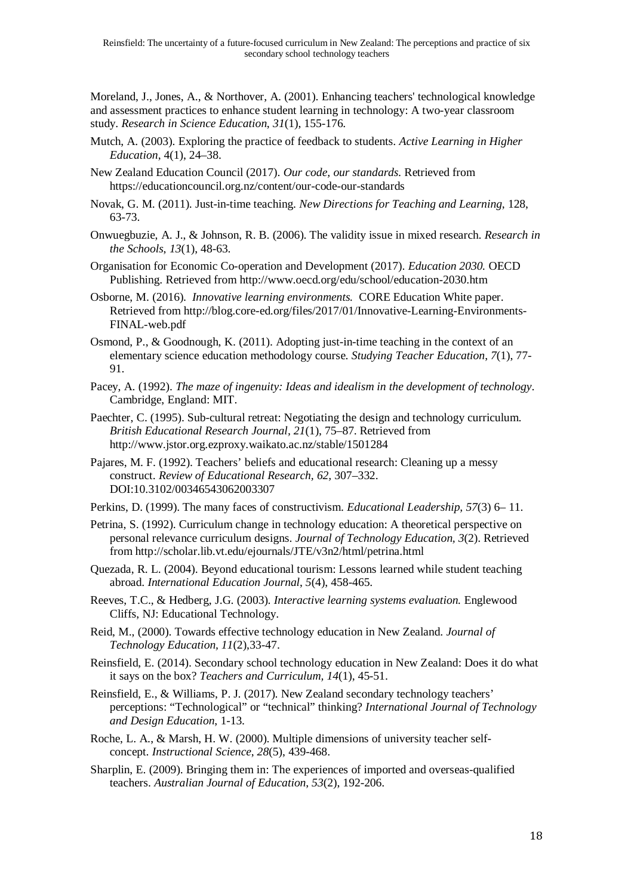Moreland, J., Jones, A., & Northover, A. (2001). Enhancing teachers' technological knowledge and assessment practices to enhance student learning in technology: A two-year classroom study. *Research in Science Education*, *31*(1), 155-176.

- Mutch, A. (2003). Exploring the practice of feedback to students. *Active Learning in Higher Education*, 4(1), 24–38.
- New Zealand Education Council (2017). *Our code, our standards.* Retrieved from https://educationcouncil.org.nz/content/our-code-our-standards
- Novak, G. M. (2011). Just-in-time teaching. *New Directions for Teaching and Learning*, 128, 63-73.
- Onwuegbuzie, A. J., & Johnson, R. B. (2006). The validity issue in mixed research. *Research in the Schools*, *13*(1), 48-63.
- Organisation for Economic Co-operation and Development (2017). *Education 2030.* OECD Publishing. Retrieved from http://www.oecd.org/edu/school/education-2030.htm
- Osborne, M. (2016). *Innovative learning environments.* CORE Education White paper. Retrieved from http://blog.core-ed.org/files/2017/01/Innovative-Learning-Environments-FINAL-web.pdf
- Osmond, P., & Goodnough, K. (2011). Adopting just-in-time teaching in the context of an elementary science education methodology course. *Studying Teacher Education*, *7*(1), 77- 91.
- Pacey, A. (1992). *The maze of ingenuity: Ideas and idealism in the development of technology*. Cambridge, England: MIT.
- Paechter, C. (1995). Sub-cultural retreat: Negotiating the design and technology curriculum. *British Educational Research Journal, 21*(1), 75–87. Retrieved from http://www.jstor.org.ezproxy.waikato.ac.nz/stable/1501284
- Pajares, M. F. (1992). Teachers' beliefs and educational research: Cleaning up a messy construct. *Review of Educational Research, 62,* 307–332. DOI:10.3102/00346543062003307
- Perkins, D. (1999). The many faces of constructivism. *Educational Leadership, 57*(3) 6– 11.
- Petrina, S. (1992). Curriculum change in technology education: A theoretical perspective on personal relevance curriculum designs. *Journal of Technology Education, 3*(2). Retrieved from http://scholar.lib.vt.edu/ejournals/JTE/v3n2/html/petrina.html
- Quezada, R. L. (2004). Beyond educational tourism: Lessons learned while student teaching abroad. *International Education Journal*, *5*(4), 458-465.
- Reeves, T.C., & Hedberg, J.G. (2003). *Interactive learning systems evaluation.* Englewood Cliffs, NJ: Educational Technology.
- Reid, M., (2000). Towards effective technology education in New Zealand. *Journal of Technology Education, 11*(2),33-47.
- Reinsfield, E. (2014). Secondary school technology education in New Zealand: Does it do what it says on the box? *Teachers and Curriculum, 14*(1), 45-51.
- Reinsfield, E., & Williams, P. J. (2017). New Zealand secondary technology teachers' perceptions: "Technological" or "technical" thinking? *International Journal of Technology and Design Education*, 1-13.
- Roche, L. A., & Marsh, H. W. (2000). Multiple dimensions of university teacher selfconcept. *Instructional Science*, *28*(5), 439-468.
- Sharplin, E. (2009). Bringing them in: The experiences of imported and overseas-qualified teachers. *Australian Journal of Education*, *53*(2), 192-206.